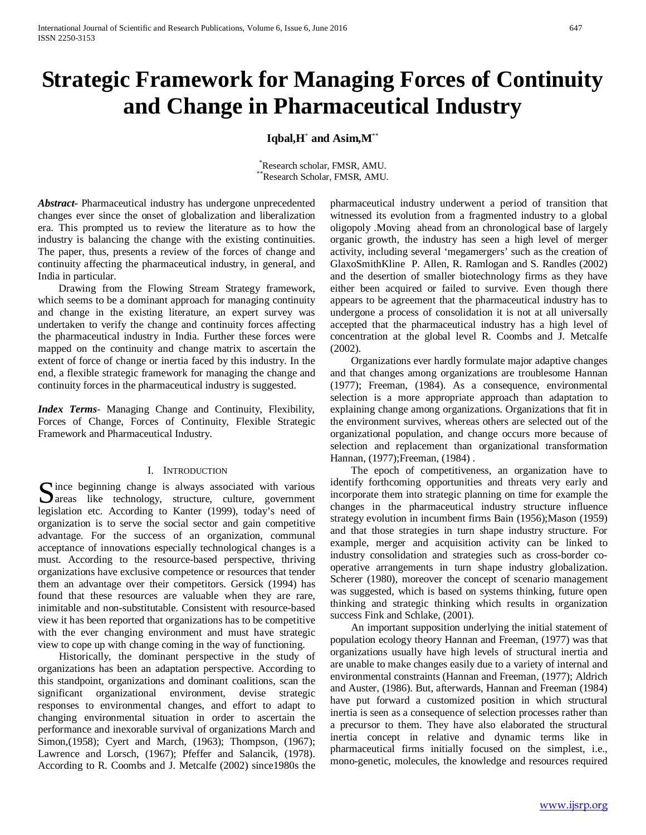# **Strategic Framework for Managing Forces of Continuity and Change in Pharmaceutical Industry**

## **Iqbal,H**\* **and Asim,M**\*\*

\* Research scholar, FMSR, AMU.  $*$ Research Scholar, FMSR, AMU.

*Abstract***-** Pharmaceutical industry has undergone unprecedented changes ever since the onset of globalization and liberalization era. This prompted us to review the literature as to how the industry is balancing the change with the existing continuities. The paper, thus, presents a review of the forces of change and continuity affecting the pharmaceutical industry, in general, and India in particular.

 Drawing from the Flowing Stream Strategy framework, which seems to be a dominant approach for managing continuity and change in the existing literature, an expert survey was undertaken to verify the change and continuity forces affecting the pharmaceutical industry in India. Further these forces were mapped on the continuity and change matrix to ascertain the extent of force of change or inertia faced by this industry. In the end, a flexible strategic framework for managing the change and continuity forces in the pharmaceutical industry is suggested.

*Index Terms*- Managing Change and Continuity, Flexibility, Forces of Change, Forces of Continuity, Flexible Strategic Framework and Pharmaceutical Industry.

#### I. INTRODUCTION

Since beginning change is always associated with various<br>
areas like technology, structure, culture, government **D** areas like technology, structure, culture, government legislation etc. According to Kanter (1999), today's need of organization is to serve the social sector and gain competitive advantage. For the success of an organization, communal acceptance of innovations especially technological changes is a must. According to the resource-based perspective, thriving organizations have exclusive competence or resources that tender them an advantage over their competitors. Gersick (1994) has found that these resources are valuable when they are rare, inimitable and non-substitutable. Consistent with resource-based view it has been reported that organizations has to be competitive with the ever changing environment and must have strategic view to cope up with change coming in the way of functioning.

 Historically, the dominant perspective in the study of organizations has been an adaptation perspective. According to this standpoint, organizations and dominant coalitions, scan the significant organizational environment, devise strategic responses to environmental changes, and effort to adapt to changing environmental situation in order to ascertain the performance and inexorable survival of organizations March and Simon,(1958); Cyert and March, (1963); Thompson, (1967); Lawrence and Lorsch, (1967); Pfeffer and Salancik, (1978). According to R. Coombs and J. Metcalfe (2002) since1980s the pharmaceutical industry underwent a period of transition that witnessed its evolution from a fragmented industry to a global oligopoly .Moving ahead from an chronological base of largely organic growth, the industry has seen a high level of merger activity, including several 'megamergers' such as the creation of GlaxoSmithKline P. Allen, R. Ramlogan and S. Randles (2002) and the desertion of smaller biotechnology firms as they have either been acquired or failed to survive. Even though there appears to be agreement that the pharmaceutical industry has to undergone a process of consolidation it is not at all universally accepted that the pharmaceutical industry has a high level of concentration at the global level R. Coombs and J. Metcalfe (2002).

 Organizations ever hardly formulate major adaptive changes and that changes among organizations are troublesome Hannan (1977); Freeman, (1984). As a consequence, environmental selection is a more appropriate approach than adaptation to explaining change among organizations. Organizations that fit in the environment survives, whereas others are selected out of the organizational population, and change occurs more because of selection and replacement than organizational transformation Hannan, (1977);Freeman, (1984) .

 The epoch of competitiveness, an organization have to identify forthcoming opportunities and threats very early and incorporate them into strategic planning on time for example the changes in the pharmaceutical industry structure influence strategy evolution in incumbent firms Bain (1956);Mason (1959) and that those strategies in turn shape industry structure. For example, merger and acquisition activity can be linked to industry consolidation and strategies such as cross-border cooperative arrangements in turn shape industry globalization. Scherer (1980), moreover the concept of scenario management was suggested, which is based on systems thinking, future open thinking and strategic thinking which results in organization success Fink and Schlake, (2001).

 An important supposition underlying the initial statement of population ecology theory Hannan and Freeman, (1977) was that organizations usually have high levels of structural inertia and are unable to make changes easily due to a variety of internal and environmental constraints (Hannan and Freeman, (1977); Aldrich and Auster, (1986). But, afterwards, Hannan and Freeman (1984) have put forward a customized position in which structural inertia is seen as a consequence of selection processes rather than a precursor to them. They have also elaborated the structural inertia concept in relative and dynamic terms like in pharmaceutical firms initially focused on the simplest, i.e., mono-genetic, molecules, the knowledge and resources required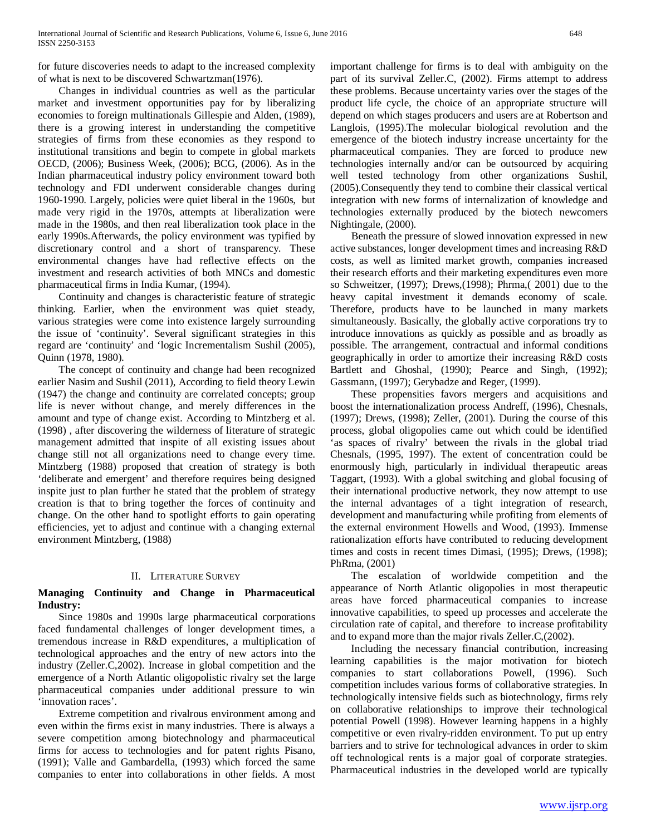for future discoveries needs to adapt to the increased complexity of what is next to be discovered Schwartzman(1976).

 Changes in individual countries as well as the particular market and investment opportunities pay for by liberalizing economies to foreign multinationals Gillespie and Alden, (1989), there is a growing interest in understanding the competitive strategies of firms from these economies as they respond to institutional transitions and begin to compete in global markets OECD, (2006); Business Week, (2006); BCG, (2006). As in the Indian pharmaceutical industry policy environment toward both technology and FDI underwent considerable changes during 1960-1990. Largely, policies were quiet liberal in the 1960s, but made very rigid in the 1970s, attempts at liberalization were made in the 1980s, and then real liberalization took place in the early 1990s.Afterwards, the policy environment was typified by discretionary control and a short of transparency. These environmental changes have had reflective effects on the investment and research activities of both MNCs and domestic pharmaceutical firms in India Kumar, (1994).

 Continuity and changes is characteristic feature of strategic thinking. Earlier, when the environment was quiet steady, various strategies were come into existence largely surrounding the issue of 'continuity'. Several significant strategies in this regard are 'continuity' and 'logic Incrementalism Sushil (2005), Quinn (1978, 1980).

 The concept of continuity and change had been recognized earlier Nasim and Sushil (2011), According to field theory Lewin (1947) the change and continuity are correlated concepts; group life is never without change, and merely differences in the amount and type of change exist. According to Mintzberg et al. (1998) , after discovering the wilderness of literature of strategic management admitted that inspite of all existing issues about change still not all organizations need to change every time. Mintzberg (1988) proposed that creation of strategy is both 'deliberate and emergent' and therefore requires being designed inspite just to plan further he stated that the problem of strategy creation is that to bring together the forces of continuity and change. On the other hand to spotlight efforts to gain operating efficiencies, yet to adjust and continue with a changing external environment Mintzberg, (1988)

## II. LITERATURE SURVEY

## **Managing Continuity and Change in Pharmaceutical Industry:**

 Since 1980s and 1990s large pharmaceutical corporations faced fundamental challenges of longer development times, a tremendous increase in R&D expenditures, a multiplication of technological approaches and the entry of new actors into the industry (Zeller.C,2002). Increase in global competition and the emergence of a North Atlantic oligopolistic rivalry set the large pharmaceutical companies under additional pressure to win 'innovation races'.

 Extreme competition and rivalrous environment among and even within the firms exist in many industries. There is always a severe competition among biotechnology and pharmaceutical firms for access to technologies and for patent rights Pisano, (1991); Valle and Gambardella, (1993) which forced the same companies to enter into collaborations in other fields. A most

important challenge for firms is to deal with ambiguity on the part of its survival Zeller.C, (2002). Firms attempt to address these problems. Because uncertainty varies over the stages of the product life cycle, the choice of an appropriate structure will depend on which stages producers and users are at Robertson and Langlois, (1995).The molecular biological revolution and the emergence of the biotech industry increase uncertainty for the pharmaceutical companies. They are forced to produce new technologies internally and/or can be outsourced by acquiring well tested technology from other organizations Sushil, (2005).Consequently they tend to combine their classical vertical integration with new forms of internalization of knowledge and technologies externally produced by the biotech newcomers Nightingale, (2000).

 Beneath the pressure of slowed innovation expressed in new active substances, longer development times and increasing R&D costs, as well as limited market growth, companies increased their research efforts and their marketing expenditures even more so Schweitzer, (1997); Drews,(1998); Phrma,( 2001) due to the heavy capital investment it demands economy of scale. Therefore, products have to be launched in many markets simultaneously. Basically, the globally active corporations try to introduce innovations as quickly as possible and as broadly as possible. The arrangement, contractual and informal conditions geographically in order to amortize their increasing R&D costs Bartlett and Ghoshal, (1990); Pearce and Singh, (1992); Gassmann, (1997); Gerybadze and Reger, (1999).

 These propensities favors mergers and acquisitions and boost the internationalization process Andreff, (1996), Chesnals, (1997); Drews, (1998); Zeller, (2001). During the course of this process, global oligopolies came out which could be identified 'as spaces of rivalry' between the rivals in the global triad Chesnals, (1995, 1997). The extent of concentration could be enormously high, particularly in individual therapeutic areas Taggart, (1993). With a global switching and global focusing of their international productive network, they now attempt to use the internal advantages of a tight integration of research, development and manufacturing while profiting from elements of the external environment Howells and Wood, (1993). Immense rationalization efforts have contributed to reducing development times and costs in recent times Dimasi, (1995); Drews, (1998); PhRma, (2001)

 The escalation of worldwide competition and the appearance of North Atlantic oligopolies in most therapeutic areas have forced pharmaceutical companies to increase innovative capabilities, to speed up processes and accelerate the circulation rate of capital, and therefore to increase profitability and to expand more than the major rivals Zeller.C,(2002).

 Including the necessary financial contribution, increasing learning capabilities is the major motivation for biotech companies to start collaborations Powell, (1996). Such competition includes various forms of collaborative strategies. In technologically intensive fields such as biotechnology, firms rely on collaborative relationships to improve their technological potential Powell (1998). However learning happens in a highly competitive or even rivalry-ridden environment. To put up entry barriers and to strive for technological advances in order to skim off technological rents is a major goal of corporate strategies. Pharmaceutical industries in the developed world are typically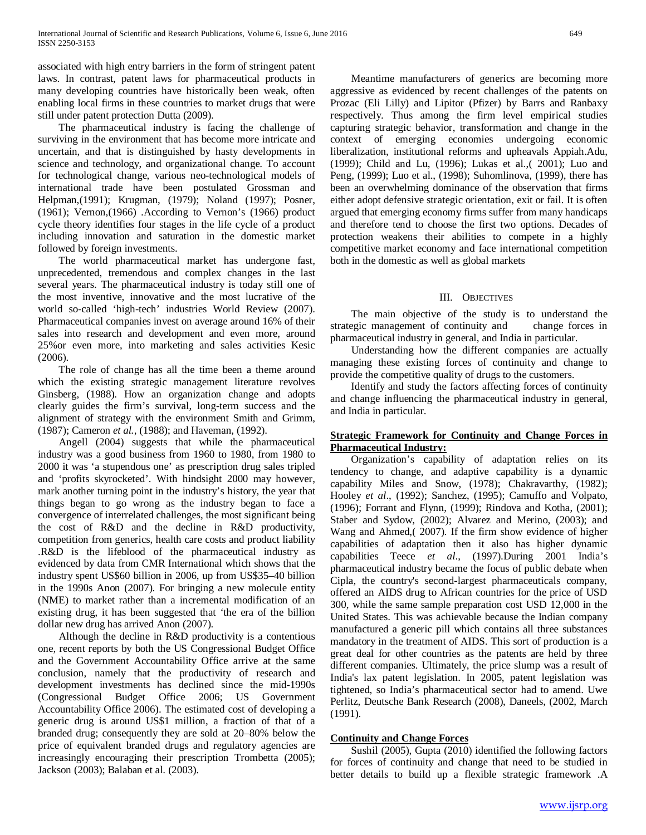associated with high entry barriers in the form of stringent patent laws. In contrast, patent laws for pharmaceutical products in many developing countries have historically been weak, often enabling local firms in these countries to market drugs that were still under patent protection Dutta (2009).

 The pharmaceutical industry is facing the challenge of surviving in the environment that has become more intricate and uncertain, and that is distinguished by hasty developments in science and technology, and organizational change. To account for technological change, various neo-technological models of international trade have been postulated Grossman and Helpman,(1991); Krugman, (1979); Noland (1997); Posner, (1961); Vernon,(1966) .According to Vernon's (1966) product cycle theory identifies four stages in the life cycle of a product including innovation and saturation in the domestic market followed by foreign investments.

 The world pharmaceutical market has undergone fast, unprecedented, tremendous and complex changes in the last several years. The pharmaceutical industry is today still one of the most inventive, innovative and the most lucrative of the world so-called 'high-tech' industries World Review (2007). Pharmaceutical companies invest on average around 16% of their sales into research and development and even more, around 25%or even more, into marketing and sales activities Kesic (2006).

 The role of change has all the time been a theme around which the existing strategic management literature revolves Ginsberg, (1988). How an organization change and adopts clearly guides the firm's survival, long-term success and the alignment of strategy with the environment Smith and Grimm, (1987); Cameron *et al.,* (1988); and Haveman, (1992).

 Angell (2004) suggests that while the pharmaceutical industry was a good business from 1960 to 1980, from 1980 to 2000 it was 'a stupendous one' as prescription drug sales tripled and 'profits skyrocketed'. With hindsight 2000 may however, mark another turning point in the industry's history, the year that things began to go wrong as the industry began to face a convergence of interrelated challenges, the most significant being the cost of R&D and the decline in R&D productivity, competition from generics, health care costs and product liability .R&D is the lifeblood of the pharmaceutical industry as evidenced by data from CMR International which shows that the industry spent US\$60 billion in 2006, up from US\$35–40 billion in the 1990s Anon (2007). For bringing a new molecule entity (NME) to market rather than a incremental modification of an existing drug, it has been suggested that 'the era of the billion dollar new drug has arrived Anon (2007).

 Although the decline in R&D productivity is a contentious one, recent reports by both the US Congressional Budget Office and the Government Accountability Office arrive at the same conclusion, namely that the productivity of research and development investments has declined since the mid-1990s (Congressional Budget Office 2006; US Government Accountability Office 2006). The estimated cost of developing a generic drug is around US\$1 million, a fraction of that of a branded drug; consequently they are sold at 20–80% below the price of equivalent branded drugs and regulatory agencies are increasingly encouraging their prescription Trombetta (2005); Jackson (2003); Balaban et al. (2003).

 Meantime manufacturers of generics are becoming more aggressive as evidenced by recent challenges of the patents on Prozac (Eli Lilly) and Lipitor (Pfizer) by Barrs and Ranbaxy respectively. Thus among the firm level empirical studies capturing strategic behavior, transformation and change in the context of emerging economies undergoing economic liberalization, institutional reforms and upheavals Appiah.Adu, (1999); Child and Lu, (1996); Lukas et al.,( 2001); Luo and Peng, (1999); Luo et al., (1998); Suhomlinova, (1999), there has been an overwhelming dominance of the observation that firms either adopt defensive strategic orientation, exit or fail. It is often argued that emerging economy firms suffer from many handicaps and therefore tend to choose the first two options. Decades of protection weakens their abilities to compete in a highly competitive market economy and face international competition both in the domestic as well as global markets

## III. OBJECTIVES

 The main objective of the study is to understand the strategic management of continuity and change forces in pharmaceutical industry in general, and India in particular.

 Understanding how the different companies are actually managing these existing forces of continuity and change to provide the competitive quality of drugs to the customers.

 Identify and study the factors affecting forces of continuity and change influencing the pharmaceutical industry in general, and India in particular.

## **Strategic Framework for Continuity and Change Forces in Pharmaceutical Industry:**

 Organization's capability of adaptation relies on its tendency to change, and adaptive capability is a dynamic capability Miles and Snow, (1978); Chakravarthy, (1982); Hooley *et al*., (1992); Sanchez, (1995); Camuffo and Volpato, (1996); Forrant and Flynn, (1999); Rindova and Kotha, (2001); Staber and Sydow, (2002); Alvarez and Merino, (2003); and Wang and Ahmed,( 2007). If the firm show evidence of higher capabilities of adaptation then it also has higher dynamic capabilities Teece *et al*., (1997).During 2001 India's pharmaceutical industry became the focus of public debate when Cipla, the country's second-largest pharmaceuticals company, offered an AIDS drug to African countries for the price of USD 300, while the same sample preparation cost USD 12,000 in the United States. This was achievable because the Indian company manufactured a generic pill which contains all three substances mandatory in the treatment of AIDS. This sort of production is a great deal for other countries as the patents are held by three different companies. Ultimately, the price slump was a result of India's lax patent legislation. In 2005, patent legislation was tightened, so India's pharmaceutical sector had to amend. Uwe Perlitz, Deutsche Bank Research (2008), Daneels, (2002, March (1991).

## **Continuity and Change Forces**

 Sushil (2005), Gupta (2010) identified the following factors for forces of continuity and change that need to be studied in better details to build up a flexible strategic framework .A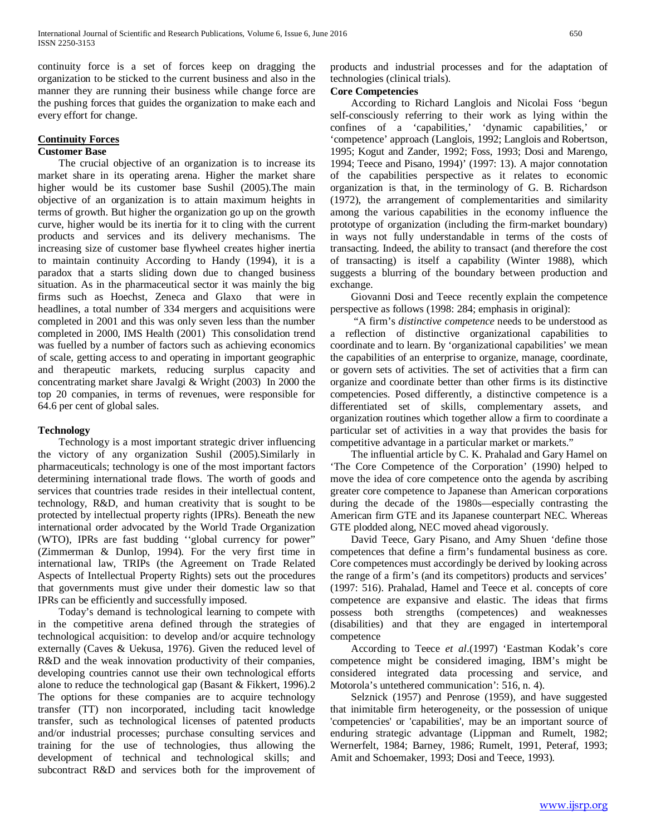continuity force is a set of forces keep on dragging the organization to be sticked to the current business and also in the manner they are running their business while change force are the pushing forces that guides the organization to make each and every effort for change.

# **Continuity Forces**

## **Customer Base**

 The crucial objective of an organization is to increase its market share in its operating arena. Higher the market share higher would be its customer base Sushil (2005).The main objective of an organization is to attain maximum heights in terms of growth. But higher the organization go up on the growth curve, higher would be its inertia for it to cling with the current products and services and its delivery mechanisms. The increasing size of customer base flywheel creates higher inertia to maintain continuity According to Handy (1994), it is a paradox that a starts sliding down due to changed business situation. As in the pharmaceutical sector it was mainly the big firms such as Hoechst, Zeneca and Glaxo that were in headlines, a total number of 334 mergers and acquisitions were completed in 2001 and this was only seven less than the number completed in 2000, IMS Health (2001) This consolidation trend was fuelled by a number of factors such as achieving economics of scale, getting access to and operating in important geographic and therapeutic markets, reducing surplus capacity and concentrating market share Javalgi & Wright (2003) In 2000 the top 20 companies, in terms of revenues, were responsible for 64.6 per cent of global sales.

## **Technology**

 Technology is a most important strategic driver influencing the victory of any organization Sushil (2005).Similarly in pharmaceuticals; technology is one of the most important factors determining international trade flows. The worth of goods and services that countries trade resides in their intellectual content, technology, R&D, and human creativity that is sought to be protected by intellectual property rights (IPRs). Beneath the new international order advocated by the World Trade Organization (WTO), IPRs are fast budding ''global currency for power" (Zimmerman & Dunlop, 1994). For the very first time in international law, TRIPs (the Agreement on Trade Related Aspects of Intellectual Property Rights) sets out the procedures that governments must give under their domestic law so that IPRs can be efficiently and successfully imposed.

 Today's demand is technological learning to compete with in the competitive arena defined through the strategies of technological acquisition: to develop and/or acquire technology externally (Caves & Uekusa, 1976). Given the reduced level of R&D and the weak innovation productivity of their companies, developing countries cannot use their own technological efforts alone to reduce the technological gap (Basant & Fikkert, 1996).2 The options for these companies are to acquire technology transfer (TT) non incorporated, including tacit knowledge transfer, such as technological licenses of patented products and/or industrial processes; purchase consulting services and training for the use of technologies, thus allowing the development of technical and technological skills; and subcontract R&D and services both for the improvement of products and industrial processes and for the adaptation of technologies (clinical trials).

### **Core Competencies**

 According to Richard Langlois and Nicolai Foss 'begun self-consciously referring to their work as lying within the confines of a 'capabilities,' 'dynamic capabilities,' or 'competence' approach (Langlois, 1992; Langlois and Robertson, 1995; Kogut and Zander, 1992; Foss, 1993; Dosi and Marengo, 1994; Teece and Pisano, 1994)' (1997: 13). A major connotation of the capabilities perspective as it relates to economic organization is that, in the terminology of G. B. Richardson (1972), the arrangement of complementarities and similarity among the various capabilities in the economy influence the prototype of organization (including the firm-market boundary) in ways not fully understandable in terms of the costs of transacting. Indeed, the ability to transact (and therefore the cost of transacting) is itself a capability (Winter 1988), which suggests a blurring of the boundary between production and exchange.

 Giovanni Dosi and Teece recently explain the competence perspective as follows (1998: 284; emphasis in original):

 "A firm's *distinctive competence* needs to be understood as a reflection of distinctive organizational capabilities to coordinate and to learn. By 'organizational capabilities' we mean the capabilities of an enterprise to organize, manage, coordinate, or govern sets of activities. The set of activities that a firm can organize and coordinate better than other firms is its distinctive competencies. Posed differently, a distinctive competence is a differentiated set of skills, complementary assets, and organization routines which together allow a firm to coordinate a particular set of activities in a way that provides the basis for competitive advantage in a particular market or markets."

 The influential article by C. K. Prahalad and Gary Hamel on 'The Core Competence of the Corporation' (1990) helped to move the idea of core competence onto the agenda by ascribing greater core competence to Japanese than American corporations during the decade of the 1980s—especially contrasting the American firm GTE and its Japanese counterpart NEC. Whereas GTE plodded along, NEC moved ahead vigorously.

 David Teece, Gary Pisano, and Amy Shuen 'define those competences that define a firm's fundamental business as core. Core competences must accordingly be derived by looking across the range of a firm's (and its competitors) products and services' (1997: 516). Prahalad, Hamel and Teece et al. concepts of core competence are expansive and elastic. The ideas that firms possess both strengths (competences) and weaknesses (disabilities) and that they are engaged in intertemporal competence

 According to Teece *et al*.(1997) 'Eastman Kodak's core competence might be considered imaging, IBM's might be considered integrated data processing and service, and Motorola's untethered communication': 516, n. 4).

 Selznick (1957) and Penrose (1959), and have suggested that inimitable firm heterogeneity, or the possession of unique 'competencies' or 'capabilities', may be an important source of enduring strategic advantage (Lippman and Rumelt, 1982; Wernerfelt, 1984; Barney, 1986; Rumelt, 1991, Peteraf, 1993; Amit and Schoemaker, 1993; Dosi and Teece, 1993).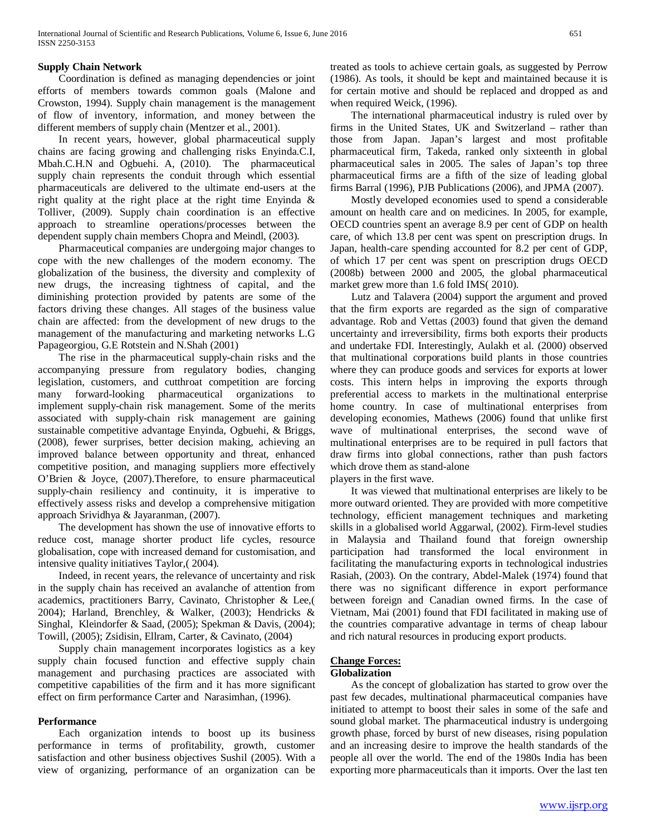## **Supply Chain Network**

 Coordination is defined as managing dependencies or joint efforts of members towards common goals (Malone and Crowston, 1994). Supply chain management is the management of flow of inventory, information, and money between the different members of supply chain (Mentzer et al., 2001).

 In recent years, however, global pharmaceutical supply chains are facing growing and challenging risks Enyinda.C.I, Mbah.C.H.N and Ogbuehi. A, (2010). The pharmaceutical supply chain represents the conduit through which essential pharmaceuticals are delivered to the ultimate end-users at the right quality at the right place at the right time Enyinda & Tolliver, (2009). Supply chain coordination is an effective approach to streamline operations/processes between the dependent supply chain members Chopra and Meindl, (2003).

 Pharmaceutical companies are undergoing major changes to cope with the new challenges of the modern economy. The globalization of the business, the diversity and complexity of new drugs, the increasing tightness of capital, and the diminishing protection provided by patents are some of the factors driving these changes. All stages of the business value chain are affected: from the development of new drugs to the management of the manufacturing and marketing networks L.G Papageorgiou, G.E Rotstein and N.Shah (2001)

 The rise in the pharmaceutical supply-chain risks and the accompanying pressure from regulatory bodies, changing legislation, customers, and cutthroat competition are forcing many forward-looking pharmaceutical organizations to implement supply-chain risk management. Some of the merits associated with supply-chain risk management are gaining sustainable competitive advantage Enyinda, Ogbuehi, & Briggs, (2008), fewer surprises, better decision making, achieving an improved balance between opportunity and threat, enhanced competitive position, and managing suppliers more effectively O'Brien & Joyce, (2007).Therefore, to ensure pharmaceutical supply-chain resiliency and continuity, it is imperative to effectively assess risks and develop a comprehensive mitigation approach Srividhya & Jayaranman, (2007).

 The development has shown the use of innovative efforts to reduce cost, manage shorter product life cycles, resource globalisation, cope with increased demand for customisation, and intensive quality initiatives Taylor,( 2004).

 Indeed, in recent years, the relevance of uncertainty and risk in the supply chain has received an avalanche of attention from academics, practitioners Barry, Cavinato, Christopher & Lee,( 2004); Harland, Brenchley, & Walker, (2003); Hendricks & Singhal, Kleindorfer & Saad, (2005); Spekman & Davis, (2004); Towill, (2005); Zsidisin, Ellram, Carter, & Cavinato, (2004)

 Supply chain management incorporates logistics as a key supply chain focused function and effective supply chain management and purchasing practices are associated with competitive capabilities of the firm and it has more significant effect on firm performance Carter and Narasimhan, (1996).

## **Performance**

 Each organization intends to boost up its business performance in terms of profitability, growth, customer satisfaction and other business objectives Sushil (2005). With a view of organizing, performance of an organization can be treated as tools to achieve certain goals, as suggested by Perrow (1986). As tools, it should be kept and maintained because it is for certain motive and should be replaced and dropped as and when required Weick, (1996).

 The international pharmaceutical industry is ruled over by firms in the United States, UK and Switzerland – rather than those from Japan. Japan's largest and most profitable pharmaceutical firm, Takeda, ranked only sixteenth in global pharmaceutical sales in 2005. The sales of Japan's top three pharmaceutical firms are a fifth of the size of leading global firms Barral (1996), PJB Publications (2006), and JPMA (2007).

 Mostly developed economies used to spend a considerable amount on health care and on medicines. In 2005, for example, OECD countries spent an average 8.9 per cent of GDP on health care, of which 13.8 per cent was spent on prescription drugs. In Japan, health-care spending accounted for 8.2 per cent of GDP, of which 17 per cent was spent on prescription drugs OECD (2008b) between 2000 and 2005, the global pharmaceutical market grew more than 1.6 fold IMS( 2010).

 Lutz and Talavera (2004) support the argument and proved that the firm exports are regarded as the sign of comparative advantage. Rob and Vettas (2003) found that given the demand uncertainty and irreversibility, firms both exports their products and undertake FDI. Interestingly, Aulakh et al. (2000) observed that multinational corporations build plants in those countries where they can produce goods and services for exports at lower costs. This intern helps in improving the exports through preferential access to markets in the multinational enterprise home country. In case of multinational enterprises from developing economies, Mathews (2006) found that unlike first wave of multinational enterprises, the second wave of multinational enterprises are to be required in pull factors that draw firms into global connections, rather than push factors which drove them as stand-alone

players in the first wave.

 It was viewed that multinational enterprises are likely to be more outward oriented. They are provided with more competitive technology, efficient management techniques and marketing skills in a globalised world Aggarwal, (2002). Firm-level studies in Malaysia and Thailand found that foreign ownership participation had transformed the local environment in facilitating the manufacturing exports in technological industries Rasiah, (2003). On the contrary, Abdel-Malek (1974) found that there was no significant difference in export performance between foreign and Canadian owned firms. In the case of Vietnam, Mai (2001) found that FDI facilitated in making use of the countries comparative advantage in terms of cheap labour and rich natural resources in producing export products.

# **Change Forces:**

## **Globalization**

 As the concept of globalization has started to grow over the past few decades, multinational pharmaceutical companies have initiated to attempt to boost their sales in some of the safe and sound global market. The pharmaceutical industry is undergoing growth phase, forced by burst of new diseases, rising population and an increasing desire to improve the health standards of the people all over the world. The end of the 1980s India has been exporting more pharmaceuticals than it imports. Over the last ten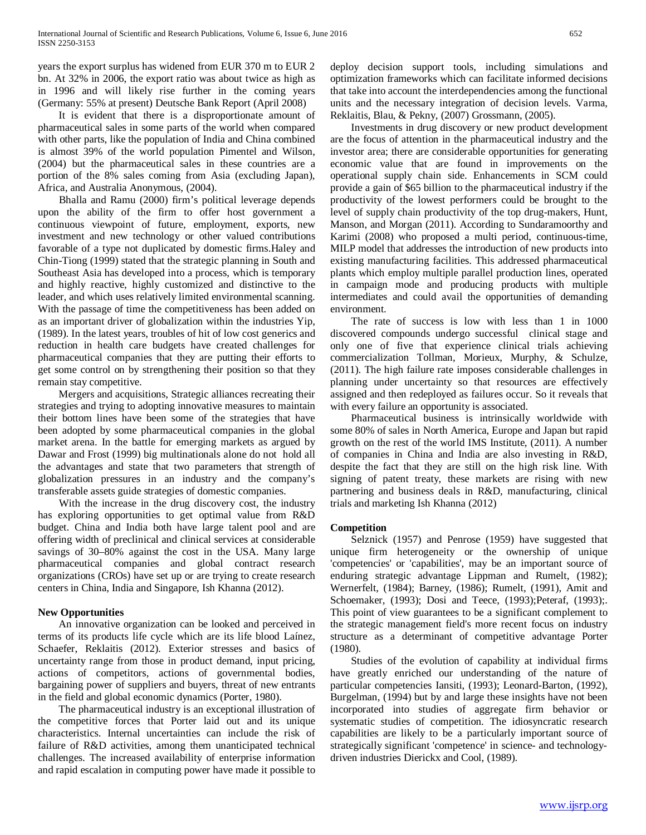years the export surplus has widened from EUR 370 m to EUR 2 bn. At 32% in 2006, the export ratio was about twice as high as in 1996 and will likely rise further in the coming years (Germany: 55% at present) Deutsche Bank Report (April 2008)

 It is evident that there is a disproportionate amount of pharmaceutical sales in some parts of the world when compared with other parts, like the population of India and China combined is almost 39% of the world population Pimentel and Wilson, (2004) but the pharmaceutical sales in these countries are a portion of the 8% sales coming from Asia (excluding Japan), Africa, and Australia Anonymous, (2004).

 Bhalla and Ramu (2000) firm's political leverage depends upon the ability of the firm to offer host government a continuous viewpoint of future, employment, exports, new investment and new technology or other valued contributions favorable of a type not duplicated by domestic firms.Haley and Chin-Tiong (1999) stated that the strategic planning in South and Southeast Asia has developed into a process, which is temporary and highly reactive, highly customized and distinctive to the leader, and which uses relatively limited environmental scanning. With the passage of time the competitiveness has been added on as an important driver of globalization within the industries Yip, (1989). In the latest years, troubles of hit of low cost generics and reduction in health care budgets have created challenges for pharmaceutical companies that they are putting their efforts to get some control on by strengthening their position so that they remain stay competitive.

 Mergers and acquisitions, Strategic alliances recreating their strategies and trying to adopting innovative measures to maintain their bottom lines have been some of the strategies that have been adopted by some pharmaceutical companies in the global market arena. In the battle for emerging markets as argued by Dawar and Frost (1999) big multinationals alone do not hold all the advantages and state that two parameters that strength of globalization pressures in an industry and the company's transferable assets guide strategies of domestic companies.

 With the increase in the drug discovery cost, the industry has exploring opportunities to get optimal value from R&D budget. China and India both have large talent pool and are offering width of preclinical and clinical services at considerable savings of 30–80% against the cost in the USA. Many large pharmaceutical companies and global contract research organizations (CROs) have set up or are trying to create research centers in China, India and Singapore, Ish Khanna (2012).

## **New Opportunities**

 An innovative organization can be looked and perceived in terms of its products life cycle which are its life blood Laínez, Schaefer, Reklaitis (2012). Exterior stresses and basics of uncertainty range from those in product demand, input pricing, actions of competitors, actions of governmental bodies, bargaining power of suppliers and buyers, threat of new entrants in the field and global economic dynamics (Porter, 1980).

 The pharmaceutical industry is an exceptional illustration of the competitive forces that Porter laid out and its unique characteristics. Internal uncertainties can include the risk of failure of R&D activities, among them unanticipated technical challenges. The increased availability of enterprise information and rapid escalation in computing power have made it possible to deploy decision support tools, including simulations and optimization frameworks which can facilitate informed decisions that take into account the interdependencies among the functional units and the necessary integration of decision levels. Varma, Reklaitis, Blau, & Pekny, (2007) Grossmann, (2005).

 Investments in drug discovery or new product development are the focus of attention in the pharmaceutical industry and the investor area; there are considerable opportunities for generating economic value that are found in improvements on the operational supply chain side. Enhancements in SCM could provide a gain of \$65 billion to the pharmaceutical industry if the productivity of the lowest performers could be brought to the level of supply chain productivity of the top drug-makers, Hunt, Manson, and Morgan (2011). According to Sundaramoorthy and Karimi (2008) who proposed a multi period, continuous-time, MILP model that addresses the introduction of new products into existing manufacturing facilities. This addressed pharmaceutical plants which employ multiple parallel production lines, operated in campaign mode and producing products with multiple intermediates and could avail the opportunities of demanding environment.

 The rate of success is low with less than 1 in 1000 discovered compounds undergo successful clinical stage and only one of five that experience clinical trials achieving commercialization Tollman, Morieux, Murphy, & Schulze, (2011). The high failure rate imposes considerable challenges in planning under uncertainty so that resources are effectively assigned and then redeployed as failures occur. So it reveals that with every failure an opportunity is associated.

 Pharmaceutical business is intrinsically worldwide with some 80% of sales in North America, Europe and Japan but rapid growth on the rest of the world IMS Institute, (2011). A number of companies in China and India are also investing in R&D, despite the fact that they are still on the high risk line. With signing of patent treaty, these markets are rising with new partnering and business deals in R&D, manufacturing, clinical trials and marketing Ish Khanna (2012)

## **Competition**

 Selznick (1957) and Penrose (1959) have suggested that unique firm heterogeneity or the ownership of unique 'competencies' or 'capabilities', may be an important source of enduring strategic advantage Lippman and Rumelt, (1982); Wernerfelt, (1984); Barney, (1986); Rumelt, (1991), Amit and Schoemaker, (1993); Dosi and Teece, (1993); Peteraf, (1993); This point of view guarantees to be a significant complement to the strategic management field's more recent focus on industry structure as a determinant of competitive advantage Porter (1980).

 Studies of the evolution of capability at individual firms have greatly enriched our understanding of the nature of particular competencies Iansiti, (1993); Leonard-Barton, (1992), Burgelman, (1994) but by and large these insights have not been incorporated into studies of aggregate firm behavior or systematic studies of competition. The idiosyncratic research capabilities are likely to be a particularly important source of strategically significant 'competence' in science- and technologydriven industries Dierickx and Cool, (1989).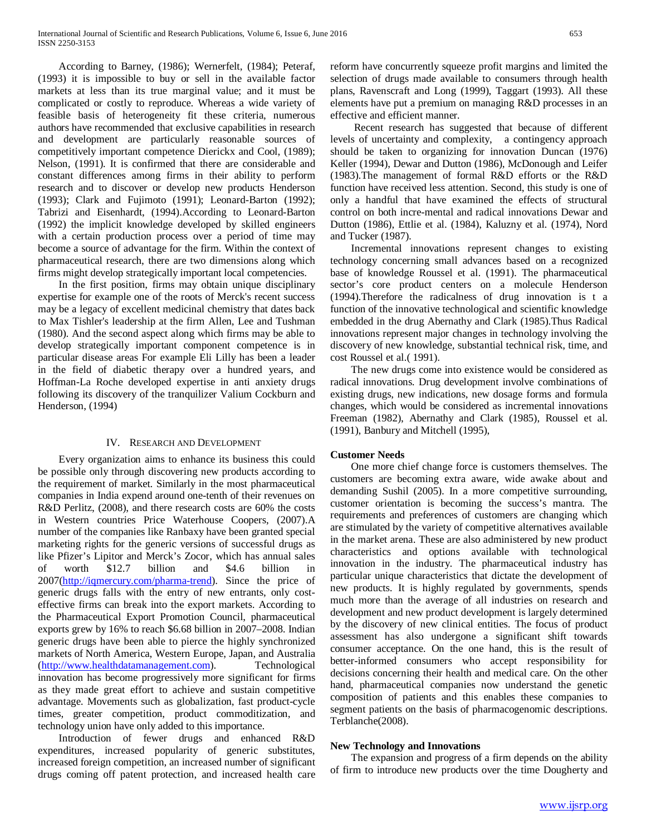According to Barney, (1986); Wernerfelt, (1984); Peteraf, (1993) it is impossible to buy or sell in the available factor markets at less than its true marginal value; and it must be complicated or costly to reproduce. Whereas a wide variety of feasible basis of heterogeneity fit these criteria, numerous authors have recommended that exclusive capabilities in research and development are particularly reasonable sources of competitively important competence Dierickx and Cool, (1989); Nelson, (1991). It is confirmed that there are considerable and constant differences among firms in their ability to perform research and to discover or develop new products Henderson (1993); Clark and Fujimoto (1991); Leonard-Barton (1992); Tabrizi and Eisenhardt, (1994).According to Leonard-Barton (1992) the implicit knowledge developed by skilled engineers with a certain production process over a period of time may become a source of advantage for the firm. Within the context of pharmaceutical research, there are two dimensions along which firms might develop strategically important local competencies.

 In the first position, firms may obtain unique disciplinary expertise for example one of the roots of Merck's recent success may be a legacy of excellent medicinal chemistry that dates back to Max Tishler's leadership at the firm Allen, Lee and Tushman (1980). And the second aspect along which firms may be able to develop strategically important component competence is in particular disease areas For example Eli Lilly has been a leader in the field of diabetic therapy over a hundred years, and Hoffman-La Roche developed expertise in anti anxiety drugs following its discovery of the tranquilizer Valium Cockburn and Henderson, (1994)

## IV. RESEARCH AND DEVELOPMENT

 Every organization aims to enhance its business this could be possible only through discovering new products according to the requirement of market. Similarly in the most pharmaceutical companies in India expend around one-tenth of their revenues on R&D Perlitz, (2008), and there research costs are 60% the costs in Western countries Price Waterhouse Coopers, (2007).A number of the companies like Ranbaxy have been granted special marketing rights for the generic versions of successful drugs as like Pfizer's Lipitor and Merck's Zocor, which has annual sales of worth \$12.7 billion and \$4.6 billion in 2007[\(http://iqmercury.com/pharma-trend\)](http://iqmercury.com/pharma-trend). Since the price of generic drugs falls with the entry of new entrants, only costeffective firms can break into the export markets. According to the Pharmaceutical Export Promotion Council, pharmaceutical exports grew by 16% to reach \$6.68 billion in 2007–2008. Indian generic drugs have been able to pierce the highly synchronized markets of North America, Western Europe, Japan, and Australia [\(http://www.healthdatamanagement.com\)](http://www.healthdatamanagement.com/). Technological innovation has become progressively more significant for firms as they made great effort to achieve and sustain competitive advantage. Movements such as globalization, fast product-cycle times, greater competition, product commoditization, and technology union have only added to this importance.

 Introduction of fewer drugs and enhanced R&D expenditures, increased popularity of generic substitutes, increased foreign competition, an increased number of significant drugs coming off patent protection, and increased health care reform have concurrently squeeze profit margins and limited the selection of drugs made available to consumers through health plans, Ravenscraft and Long (1999), Taggart (1993). All these elements have put a premium on managing R&D processes in an effective and efficient manner.

 Recent research has suggested that because of different levels of uncertainty and complexity, a contingency approach should be taken to organizing for innovation Duncan (1976) Keller (1994), Dewar and Dutton (1986), McDonough and Leifer (1983).The management of formal R&D efforts or the R&D function have received less attention. Second, this study is one of only a handful that have examined the effects of structural control on both incre-mental and radical innovations Dewar and Dutton (1986), Ettlie et al. (1984), Kaluzny et al. (1974), Nord and Tucker (1987).

 Incremental innovations represent changes to existing technology concerning small advances based on a recognized base of knowledge Roussel et al. (1991). The pharmaceutical sector's core product centers on a molecule Henderson (1994).Therefore the radicalness of drug innovation is t a function of the innovative technological and scientific knowledge embedded in the drug Abernathy and Clark (1985).Thus Radical innovations represent major changes in technology involving the discovery of new knowledge, substantial technical risk, time, and cost Roussel et al.( 1991).

 The new drugs come into existence would be considered as radical innovations. Drug development involve combinations of existing drugs, new indications, new dosage forms and formula changes, which would be considered as incremental innovations Freeman (1982), Abernathy and Clark (1985), Roussel et al. (1991), Banbury and Mitchell (1995),

## **Customer Needs**

 One more chief change force is customers themselves. The customers are becoming extra aware, wide awake about and demanding Sushil (2005). In a more competitive surrounding, customer orientation is becoming the success's mantra. The requirements and preferences of customers are changing which are stimulated by the variety of competitive alternatives available in the market arena. These are also administered by new product characteristics and options available with technological innovation in the industry. The pharmaceutical industry has particular unique characteristics that dictate the development of new products. It is highly regulated by governments, spends much more than the average of all industries on research and development and new product development is largely determined by the discovery of new clinical entities. The focus of product assessment has also undergone a significant shift towards consumer acceptance. On the one hand, this is the result of better-informed consumers who accept responsibility for decisions concerning their health and medical care. On the other hand, pharmaceutical companies now understand the genetic composition of patients and this enables these companies to segment patients on the basis of pharmacogenomic descriptions. Terblanche(2008).

#### **New Technology and Innovations**

 The expansion and progress of a firm depends on the ability of firm to introduce new products over the time Dougherty and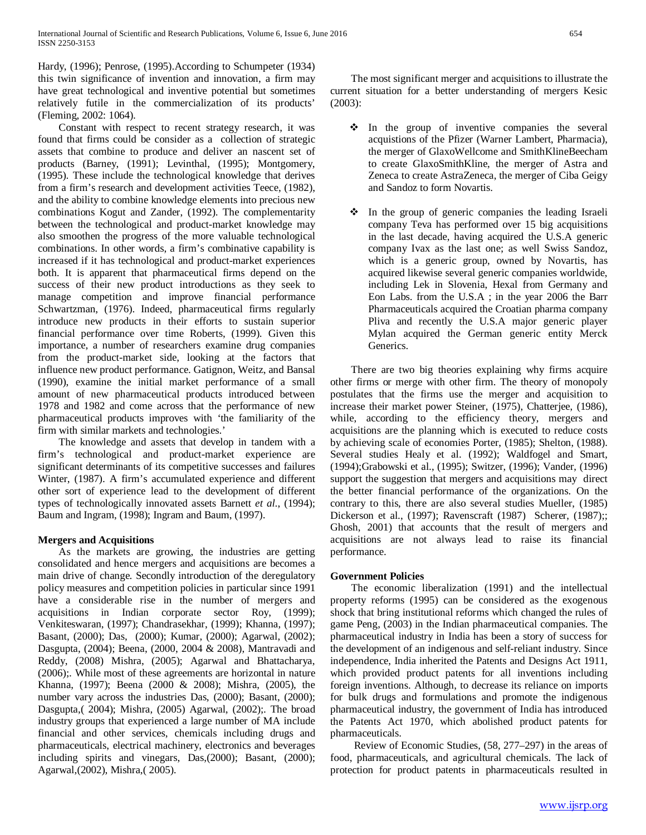Hardy, (1996); Penrose, (1995).According to Schumpeter (1934) this twin significance of invention and innovation, a firm may have great technological and inventive potential but sometimes relatively futile in the commercialization of its products' (Fleming, 2002: 1064).

 Constant with respect to recent strategy research, it was found that firms could be consider as a collection of strategic assets that combine to produce and deliver an nascent set of products (Barney, (1991); Levinthal, (1995); Montgomery, (1995). These include the technological knowledge that derives from a firm's research and development activities Teece, (1982), and the ability to combine knowledge elements into precious new combinations Kogut and Zander, (1992). The complementarity between the technological and product-market knowledge may also smoothen the progress of the more valuable technological combinations. In other words, a firm's combinative capability is increased if it has technological and product-market experiences both. It is apparent that pharmaceutical firms depend on the success of their new product introductions as they seek to manage competition and improve financial performance Schwartzman, (1976). Indeed, pharmaceutical firms regularly introduce new products in their efforts to sustain superior financial performance over time Roberts, (1999). Given this importance, a number of researchers examine drug companies from the product-market side, looking at the factors that influence new product performance. Gatignon, Weitz, and Bansal (1990), examine the initial market performance of a small amount of new pharmaceutical products introduced between 1978 and 1982 and come across that the performance of new pharmaceutical products improves with 'the familiarity of the firm with similar markets and technologies.'

 The knowledge and assets that develop in tandem with a firm's technological and product-market experience are significant determinants of its competitive successes and failures Winter, (1987). A firm's accumulated experience and different other sort of experience lead to the development of different types of technologically innovated assets Barnett *et al*., (1994); Baum and Ingram, (1998); Ingram and Baum, (1997).

## **Mergers and Acquisitions**

 As the markets are growing, the industries are getting consolidated and hence mergers and acquisitions are becomes a main drive of change. Secondly introduction of the deregulatory policy measures and competition policies in particular since 1991 have a considerable rise in the number of mergers and acquisitions in Indian corporate sector Roy, (1999); Venkiteswaran, (1997); Chandrasekhar, (1999); Khanna, (1997); Basant, (2000); Das, (2000); Kumar, (2000); Agarwal, (2002); Dasgupta, (2004); Beena, (2000, 2004 & 2008), Mantravadi and Reddy, (2008) Mishra, (2005); Agarwal and Bhattacharya, (2006);. While most of these agreements are horizontal in nature Khanna, (1997); Beena (2000 & 2008); Mishra, (2005), the number vary across the industries Das, (2000); Basant, (2000); Dasgupta,( 2004); Mishra, (2005) Agarwal, (2002);. The broad industry groups that experienced a large number of MA include financial and other services, chemicals including drugs and pharmaceuticals, electrical machinery, electronics and beverages including spirits and vinegars, Das,(2000); Basant, (2000); Agarwal,(2002), Mishra,( 2005).

 The most significant merger and acquisitions to illustrate the current situation for a better understanding of mergers Kesic (2003):

- $\div$  In the group of inventive companies the several acquistions of the Pfizer (Warner Lambert, Pharmacia), the merger of GlaxoWellcome and SmithKlineBeecham to create GlaxoSmithKline, the merger of Astra and Zeneca to create AstraZeneca, the merger of Ciba Geigy and Sandoz to form Novartis.
- $\cdot \cdot$  In the group of generic companies the leading Israeli company Teva has performed over 15 big acquisitions in the last decade, having acquired the U.S.A generic company Ivax as the last one; as well Swiss Sandoz, which is a generic group, owned by Novartis, has acquired likewise several generic companies worldwide, including Lek in Slovenia, Hexal from Germany and Eon Labs. from the U.S.A ; in the year 2006 the Barr Pharmaceuticals acquired the Croatian pharma company Pliva and recently the U.S.A major generic player Mylan acquired the German generic entity Merck Generics.

 There are two big theories explaining why firms acquire other firms or merge with other firm. The theory of monopoly postulates that the firms use the merger and acquisition to increase their market power Steiner, (1975), Chatterjee, (1986), while, according to the efficiency theory, mergers and acquisitions are the planning which is executed to reduce costs by achieving scale of economies Porter, (1985); Shelton, (1988). Several studies Healy et al. (1992); Waldfogel and Smart, (1994);Grabowski et al., (1995); Switzer, (1996); Vander, (1996) support the suggestion that mergers and acquisitions may direct the better financial performance of the organizations. On the contrary to this, there are also several studies Mueller, (1985) Dickerson et al., (1997); Ravenscraft (1987) Scherer, (1987);; Ghosh, 2001) that accounts that the result of mergers and acquisitions are not always lead to raise its financial performance.

## **Government Policies**

 The economic liberalization (1991) and the intellectual property reforms (1995) can be considered as the exogenous shock that bring institutional reforms which changed the rules of game Peng, (2003) in the Indian pharmaceutical companies. The pharmaceutical industry in India has been a story of success for the development of an indigenous and self-reliant industry. Since independence, India inherited the Patents and Designs Act 1911, which provided product patents for all inventions including foreign inventions. Although, to decrease its reliance on imports for bulk drugs and formulations and promote the indigenous pharmaceutical industry, the government of India has introduced the Patents Act 1970, which abolished product patents for pharmaceuticals.

 Review of Economic Studies, (58, 277–297) in the areas of food, pharmaceuticals, and agricultural chemicals. The lack of protection for product patents in pharmaceuticals resulted in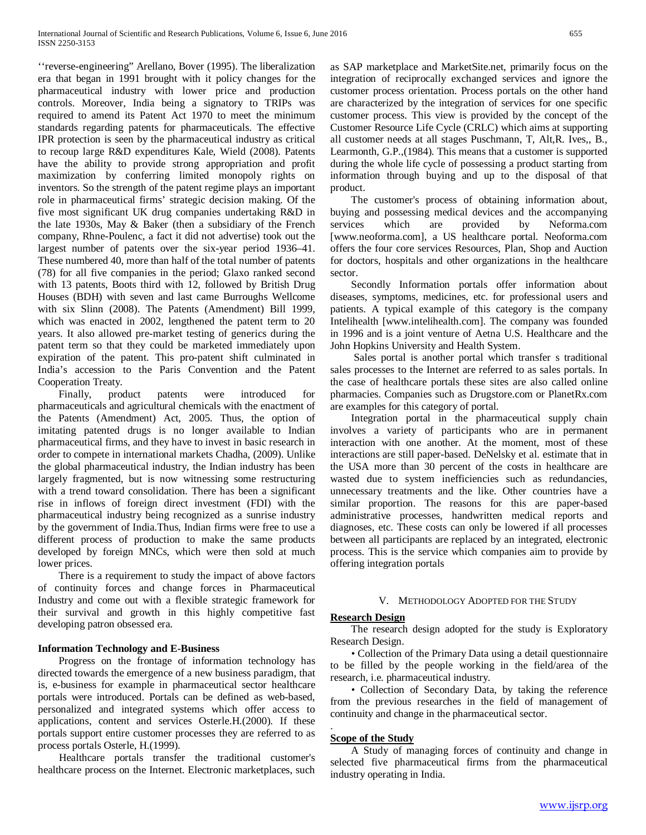''reverse-engineering" Arellano, Bover (1995). The liberalization era that began in 1991 brought with it policy changes for the pharmaceutical industry with lower price and production controls. Moreover, India being a signatory to TRIPs was required to amend its Patent Act 1970 to meet the minimum standards regarding patents for pharmaceuticals. The effective IPR protection is seen by the pharmaceutical industry as critical to recoup large R&D expenditures Kale, Wield (2008). Patents have the ability to provide strong appropriation and profit maximization by conferring limited monopoly rights on inventors. So the strength of the patent regime plays an important role in pharmaceutical firms' strategic decision making. Of the five most significant UK drug companies undertaking R&D in the late 1930s, May & Baker (then a subsidiary of the French company, Rhne-Poulenc, a fact it did not advertise) took out the largest number of patents over the six-year period 1936–41. These numbered 40, more than half of the total number of patents (78) for all five companies in the period; Glaxo ranked second with 13 patents, Boots third with 12, followed by British Drug Houses (BDH) with seven and last came Burroughs Wellcome with six Slinn (2008). The Patents (Amendment) Bill 1999, which was enacted in 2002, lengthened the patent term to 20 years. It also allowed pre-market testing of generics during the patent term so that they could be marketed immediately upon expiration of the patent. This pro-patent shift culminated in India's accession to the Paris Convention and the Patent Cooperation Treaty.

 Finally, product patents were introduced for pharmaceuticals and agricultural chemicals with the enactment of the Patents (Amendment) Act, 2005. Thus, the option of imitating patented drugs is no longer available to Indian pharmaceutical firms, and they have to invest in basic research in order to compete in international markets Chadha, (2009). Unlike the global pharmaceutical industry, the Indian industry has been largely fragmented, but is now witnessing some restructuring with a trend toward consolidation. There has been a significant rise in inflows of foreign direct investment (FDI) with the pharmaceutical industry being recognized as a sunrise industry by the government of India.Thus, Indian firms were free to use a different process of production to make the same products developed by foreign MNCs, which were then sold at much lower prices.

 There is a requirement to study the impact of above factors of continuity forces and change forces in Pharmaceutical Industry and come out with a flexible strategic framework for their survival and growth in this highly competitive fast developing patron obsessed era.

## **Information Technology and E-Business**

 Progress on the frontage of information technology has directed towards the emergence of a new business paradigm, that is, e-business for example in pharmaceutical sector healthcare portals were introduced. Portals can be defined as web-based, personalized and integrated systems which offer access to applications, content and services Osterle.H.(2000). If these portals support entire customer processes they are referred to as process portals Osterle, H.(1999).

 Healthcare portals transfer the traditional customer's healthcare process on the Internet. Electronic marketplaces, such as SAP marketplace and MarketSite.net, primarily focus on the integration of reciprocally exchanged services and ignore the customer process orientation. Process portals on the other hand are characterized by the integration of services for one specific customer process. This view is provided by the concept of the Customer Resource Life Cycle (CRLC) which aims at supporting all customer needs at all stages Puschmann, T, Alt,R. Ives,, B., Learmonth, G.P.,(1984). This means that a customer is supported during the whole life cycle of possessing a product starting from information through buying and up to the disposal of that product.

 The customer's process of obtaining information about, buying and possessing medical devices and the accompanying services which are provided by Neforma.com [www.neoforma.com], a US healthcare portal. Neoforma.com offers the four core services Resources, Plan, Shop and Auction for doctors, hospitals and other organizations in the healthcare sector.

 Secondly Information portals offer information about diseases, symptoms, medicines, etc. for professional users and patients. A typical example of this category is the company Intelihealth [www.intelihealth.com]. The company was founded in 1996 and is a joint venture of Aetna U.S. Healthcare and the John Hopkins University and Health System.

 Sales portal is another portal which transfer s traditional sales processes to the Internet are referred to as sales portals. In the case of healthcare portals these sites are also called online pharmacies. Companies such as Drugstore.com or PlanetRx.com are examples for this category of portal.

 Integration portal in the pharmaceutical supply chain involves a variety of participants who are in permanent interaction with one another. At the moment, most of these interactions are still paper-based. DeNelsky et al. estimate that in the USA more than 30 percent of the costs in healthcare are wasted due to system inefficiencies such as redundancies, unnecessary treatments and the like. Other countries have a similar proportion. The reasons for this are paper-based administrative processes, handwritten medical reports and diagnoses, etc. These costs can only be lowered if all processes between all participants are replaced by an integrated, electronic process. This is the service which companies aim to provide by offering integration portals

#### V. METHODOLOGY ADOPTED FOR THE STUDY

#### **Research Design**

 The research design adopted for the study is Exploratory Research Design.

 • Collection of the Primary Data using a detail questionnaire to be filled by the people working in the field/area of the research, i.e. pharmaceutical industry.

 • Collection of Secondary Data, by taking the reference from the previous researches in the field of management of continuity and change in the pharmaceutical sector.

#### **Scope of the Study**

.

 A Study of managing forces of continuity and change in selected five pharmaceutical firms from the pharmaceutical industry operating in India.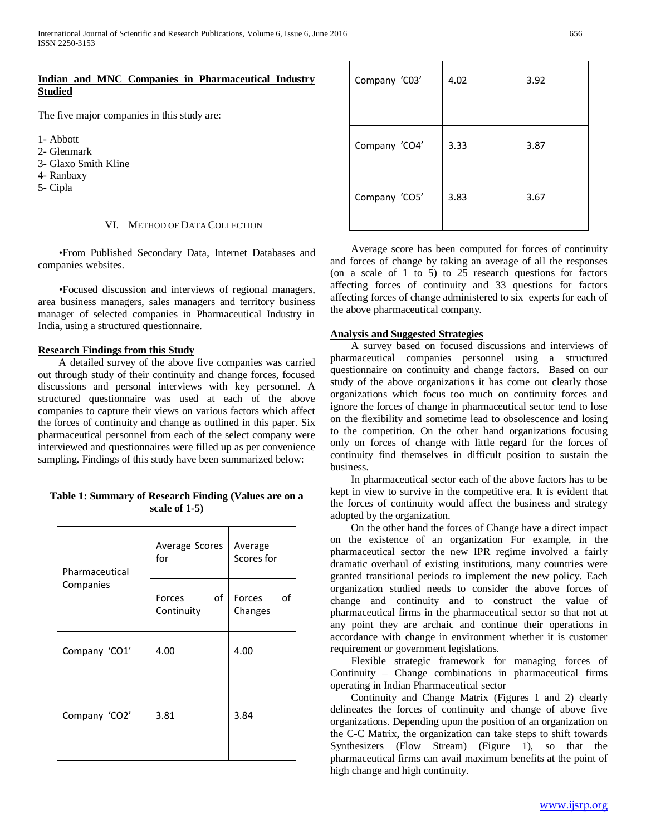## **Indian and MNC Companies in Pharmaceutical Industry Studied**

The five major companies in this study are:

- 1- Abbott
- 2- Glenmark
- 3- Glaxo Smith Kline
- 4- Ranbaxy
- 5- Cipla

#### VI. METHOD OF DATA COLLECTION

 •From Published Secondary Data, Internet Databases and companies websites.

 •Focused discussion and interviews of regional managers, area business managers, sales managers and territory business manager of selected companies in Pharmaceutical Industry in India, using a structured questionnaire.

## **Research Findings from this Study**

 A detailed survey of the above five companies was carried out through study of their continuity and change forces, focused discussions and personal interviews with key personnel. A structured questionnaire was used at each of the above companies to capture their views on various factors which affect the forces of continuity and change as outlined in this paper. Six pharmaceutical personnel from each of the select company were interviewed and questionnaires were filled up as per convenience sampling. Findings of this study have been summarized below:

## **Table 1: Summary of Research Finding (Values are on a scale of 1-5)**

| Pharmaceutical<br>Companies | Average Scores<br>for             | Average<br>Scores for   |
|-----------------------------|-----------------------------------|-------------------------|
|                             | οf<br><b>Forces</b><br>Continuity | of<br>Forces<br>Changes |
| Company 'CO1'               | 4.00                              | 4.00                    |
| Company 'CO2'               | 3.81                              | 3.84                    |

| Company 'C03' | 4.02 | 3.92 |
|---------------|------|------|
| Company 'CO4' | 3.33 | 3.87 |
| Company 'CO5' | 3.83 | 3.67 |

 Average score has been computed for forces of continuity and forces of change by taking an average of all the responses (on a scale of 1 to 5) to 25 research questions for factors affecting forces of continuity and 33 questions for factors affecting forces of change administered to six experts for each of the above pharmaceutical company.

## **Analysis and Suggested Strategies**

 A survey based on focused discussions and interviews of pharmaceutical companies personnel using a structured questionnaire on continuity and change factors. Based on our study of the above organizations it has come out clearly those organizations which focus too much on continuity forces and ignore the forces of change in pharmaceutical sector tend to lose on the flexibility and sometime lead to obsolescence and losing to the competition. On the other hand organizations focusing only on forces of change with little regard for the forces of continuity find themselves in difficult position to sustain the business.

 In pharmaceutical sector each of the above factors has to be kept in view to survive in the competitive era. It is evident that the forces of continuity would affect the business and strategy adopted by the organization.

 On the other hand the forces of Change have a direct impact on the existence of an organization For example, in the pharmaceutical sector the new IPR regime involved a fairly dramatic overhaul of existing institutions, many countries were granted transitional periods to implement the new policy. Each organization studied needs to consider the above forces of change and continuity and to construct the value of pharmaceutical firms in the pharmaceutical sector so that not at any point they are archaic and continue their operations in accordance with change in environment whether it is customer requirement or government legislations.

 Flexible strategic framework for managing forces of Continuity – Change combinations in pharmaceutical firms operating in Indian Pharmaceutical sector

 Continuity and Change Matrix (Figures 1 and 2) clearly delineates the forces of continuity and change of above five organizations. Depending upon the position of an organization on the C-C Matrix, the organization can take steps to shift towards Synthesizers (Flow Stream) (Figure 1), so that the pharmaceutical firms can avail maximum benefits at the point of high change and high continuity.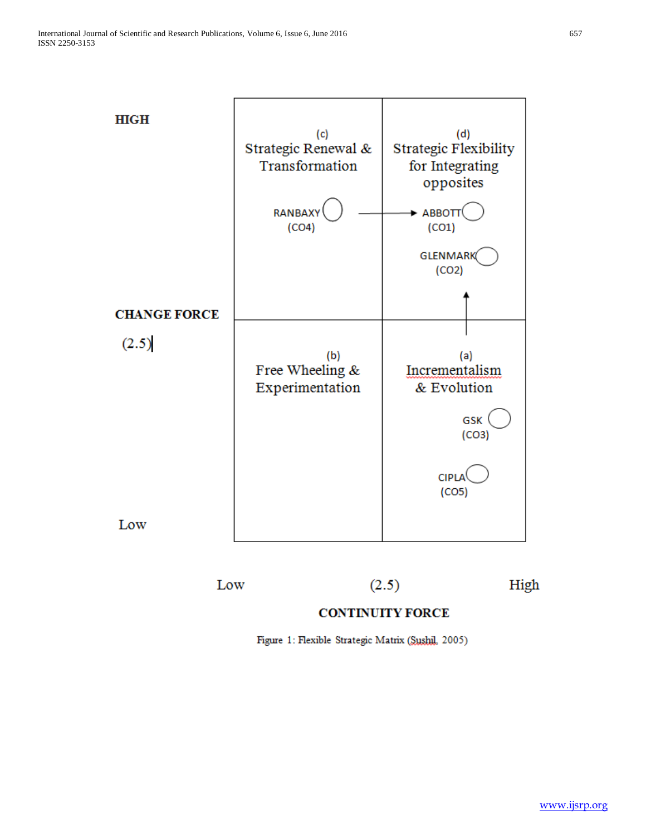

Low

 $(2.5)$ 

High

# **CONTINUITY FORCE**

Figure 1: Flexible Strategic Matrix (Sushil, 2005)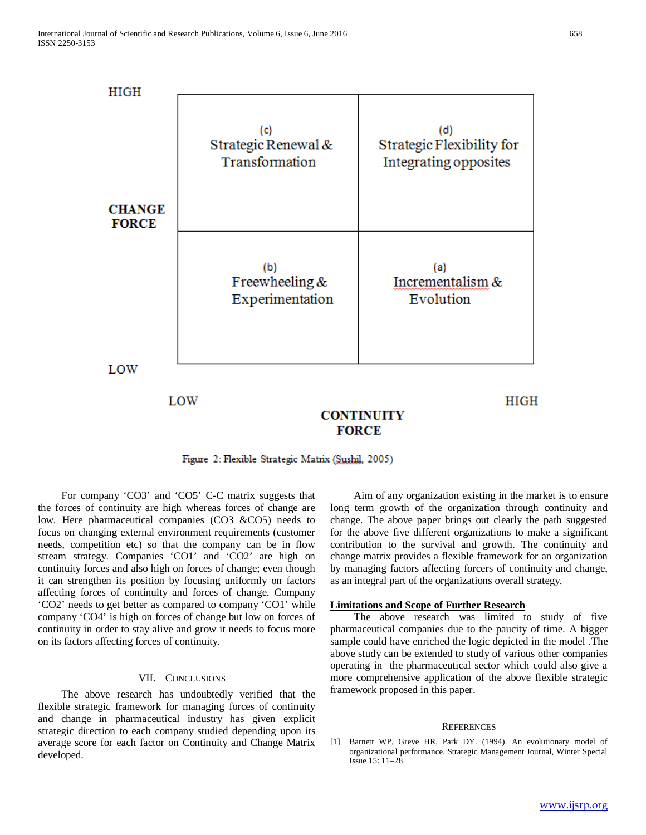

## **CONTINUITY FORCE**

Figure 2: Flexible Strategic Matrix (Sushil, 2005)

 For company 'CO3' and 'CO5' C-C matrix suggests that the forces of continuity are high whereas forces of change are low. Here pharmaceutical companies (CO3 &CO5) needs to focus on changing external environment requirements (customer needs, competition etc) so that the company can be in flow stream strategy. Companies 'CO1' and 'CO2' are high on continuity forces and also high on forces of change; even though it can strengthen its position by focusing uniformly on factors affecting forces of continuity and forces of change. Company 'CO2' needs to get better as compared to company 'CO1' while company 'CO4' is high on forces of change but low on forces of continuity in order to stay alive and grow it needs to focus more on its factors affecting forces of continuity.

## VII. CONCLUSIONS

 The above research has undoubtedly verified that the flexible strategic framework for managing forces of continuity and change in pharmaceutical industry has given explicit strategic direction to each company studied depending upon its average score for each factor on Continuity and Change Matrix developed.

 Aim of any organization existing in the market is to ensure long term growth of the organization through continuity and change. The above paper brings out clearly the path suggested for the above five different organizations to make a significant contribution to the survival and growth. The continuity and change matrix provides a flexible framework for an organization by managing factors affecting forcers of continuity and change, as an integral part of the organizations overall strategy.

## **Limitations and Scope of Further Research**

 The above research was limited to study of five pharmaceutical companies due to the paucity of time. A bigger sample could have enriched the logic depicted in the model .The above study can be extended to study of various other companies operating in the pharmaceutical sector which could also give a more comprehensive application of the above flexible strategic framework proposed in this paper.

## **REFERENCES**

[1] Barnett WP, Greve HR, Park DY. (1994). An evolutionary model of organizational performance. Strategic Management Journal, Winter Special Issue 15: 11–28.